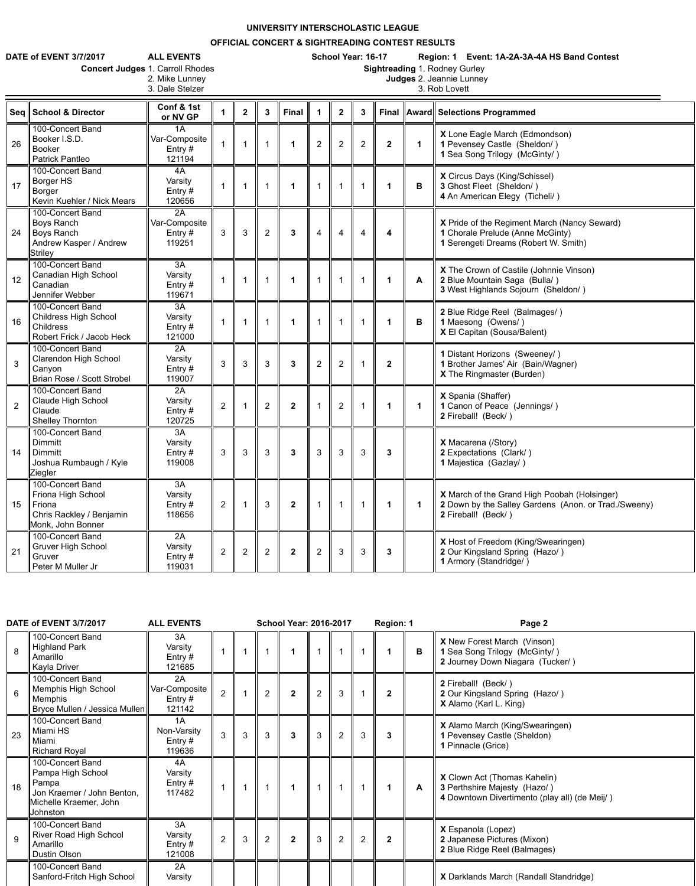## **UNIVERSITY INTERSCHOLASTIC LEAGUE**

## **OFFICIAL CONCERT & SIGHTREADING CONTEST RESULTS**

**DATE of EVENT 3/7/2017 ALL EVENTS School Year: 16-17 Region: 1 Event: 1A-2A-3A-4A HS Band Contest**

| <b>TE of EVENT 3/7/2017</b> | <b>ALL EVENTS</b>                       |
|-----------------------------|-----------------------------------------|
|                             | <b>Concert Judges 1. Carroll Rhodes</b> |
|                             | 2. Mike Lunney                          |

2. Mike Lunney **Judges** 2. Jeannie Lunney

3. Dale Stelzer 3. Rob Lovett

|                | Seg School & Director                                                                                  | Conf & 1st<br>or NV GP                     |                | $\mathbf{2}$            | $\boldsymbol{3}$ | <b>Final</b>   | 1              | $\mathbf 2$    | $\mathbf{3}$   |                      |             | Final    Award    Selections Programmed                                                                                            |  |
|----------------|--------------------------------------------------------------------------------------------------------|--------------------------------------------|----------------|-------------------------|------------------|----------------|----------------|----------------|----------------|----------------------|-------------|------------------------------------------------------------------------------------------------------------------------------------|--|
| 26             | 100-Concert Band<br>Booker I.S.D.<br><b>Booker</b><br><b>Patrick Pantleo</b>                           | 1A<br>Var-Composite<br>Entry $#$<br>121194 |                | $\overline{\mathbf{1}}$ |                  |                | $\overline{2}$ | $\overline{2}$ | $\overline{2}$ | $\mathbf{2}$         | $\mathbf 1$ | X Lone Eagle March (Edmondson)<br>1 Pevensey Castle (Sheldon/)<br>1 Sea Song Trilogy (McGinty/)                                    |  |
| 17             | 100-Concert Band<br>Borger HS<br>Borger<br>Kevin Kuehler / Nick Mears                                  | 4A<br>Varsity<br>Entry $#$<br>120656       | $\mathbf{1}$   | $\overline{1}$          |                  | 1              |                |                |                | 1                    | $\mathbf B$ | X Circus Days (King/Schissel)<br>3 Ghost Fleet (Sheldon/)<br>4 An American Elegy (Ticheli/)                                        |  |
| 24             | 100-Concert Band<br><b>Boys Ranch</b><br><b>Boys Ranch</b><br>Andrew Kasper / Andrew<br><b>Striley</b> | 2A<br>Var-Composite<br>Entry $#$<br>119251 | 3 <sup>1</sup> | 3                       | $\overline{2}$   | 3              | $\overline{4}$ | 4              | 4              | 4                    |             | X Pride of the Regiment March (Nancy Seward)<br>1 Chorale Prelude (Anne McGinty)<br>1 Serengeti Dreams (Robert W. Smith)           |  |
| 12             | 100-Concert Band<br><b>Canadian High School</b><br>Canadian<br>Jennifer Webber                         | 3A<br>Varsity<br>Entry $#$<br>119671       | $\mathbf{1}$   | $\mathbf{1}$            |                  | 1              |                |                |                | $\blacktriangleleft$ | A           | X The Crown of Castile (Johnnie Vinson)<br>2 Blue Mountain Saga (Bulla/)<br>3 West Highlands Sojourn (Sheldon/)                    |  |
| 16             | 100-Concert Band<br><b>Childress High School</b><br><b>Childress</b><br>Robert Frick / Jacob Heck      | 3A<br>Varsity<br>Entry $#$<br>121000       |                | $\overline{1}$          |                  |                |                |                |                | 1                    | B           | 2 Blue Ridge Reel (Balmages/)<br>1 Maesong (Owens/)<br>X El Capitan (Sousa/Balent)                                                 |  |
| $\overline{3}$ | 100-Concert Band<br><b>Clarendon High School</b><br>Canyon<br>Brian Rose / Scott Strobel               | 2A<br>Varsity<br>Entry $#$<br>119007       | 3              | 3                       | 3                | 3              | $\overline{2}$ | $\overline{2}$ |                | $\mathbf{2}$         |             | 1 Distant Horizons (Sweeney/)<br>1 Brother James' Air (Bain/Wagner)<br><b>X</b> The Ringmaster (Burden)                            |  |
| $\overline{2}$ | 100-Concert Band<br><b>Claude High School</b><br>Claude<br><b>Shelley Thornton</b>                     | 2A<br>Varsity<br>Entry #<br>120725         | $\overline{2}$ |                         | $\overline{2}$   | $\mathbf 2$    |                | $\overline{2}$ |                |                      |             | X Spania (Shaffer)<br>1 Canon of Peace (Jennings/)<br>2 Fireball! (Beck/)                                                          |  |
| 14             | 100-Concert Band<br><b>Dimmitt</b><br><b>Dimmitt</b><br>Joshua Rumbaugh / Kyle<br>Ziegler              | 3A<br>Varsity<br>Entry $#$<br>119008       | $\mathbf{3}$   | 3                       | $\mathbf{3}$     | 3              | $\mathfrak{S}$ | 3              | 3              | 3                    |             | <b>X</b> Macarena (/Story)<br>2 Expectations (Clark/)<br>1 Majestica (Gazlay/)                                                     |  |
| 15             | 100-Concert Band<br>Friona High School<br>Friona<br>Chris Rackley / Benjamin<br>Monk, John Bonner      | 3A<br>Varsity<br>Entry $#$<br>118656       | 2              |                         | $\mathbf{3}$     | $\overline{2}$ |                |                |                |                      | $\mathbf 1$ | <b>X</b> March of the Grand High Poobah (Holsinger)<br>2 Down by the Salley Gardens (Anon. or Trad./Sweeny)<br>2 Fireball! (Beck/) |  |
| 21             | 100-Concert Band<br><b>Gruver High School</b><br>Gruver<br>Peter M Muller Jr                           | 2A<br>Varsity<br>Entry #<br>119031         | $\overline{2}$ | $\overline{2}$          | $\overline{2}$   | $\mathbf{2}$   | $\overline{2}$ | $\mathbf{3}$   | 3              | $\mathbf{3}$         |             | X Host of Freedom (King/Swearingen)<br>2 Our Kingsland Spring (Hazo/)<br>1 Armory (Standridge/)                                    |  |

|                 | DATE of EVENT 3/7/2017<br><b>ALL EVENTS</b>                                                                        |                                            |                |   | <b>School Year: 2016-2017</b> |                |   |                | Region: 1      |                      | Page 2       |                                                                                                                      |
|-----------------|--------------------------------------------------------------------------------------------------------------------|--------------------------------------------|----------------|---|-------------------------------|----------------|---|----------------|----------------|----------------------|--------------|----------------------------------------------------------------------------------------------------------------------|
| 8               | 100-Concert Band<br><b>Highland Park</b><br>Amarillo<br>Kayla Driver                                               | 3A<br>Varsity<br>Entry $#$<br>121685       |                |   | $\overline{1}$                | 1              |   |                |                |                      | B            | <b>X</b> New Forest March (Vinson)<br>1 Sea Song Trilogy (McGinty/)<br>2 Journey Down Niagara (Tucker/)              |
| $6\phantom{1}6$ | 100-Concert Band<br><b>Memphis High School</b><br><b>Memphis</b><br>Bryce Mullen / Jessica Mullen                  | 2A<br>Var-Composite<br>Entry $#$<br>121142 | 2              |   | 2                             | $\overline{2}$ | 2 | $\mathbf{3}$   |                | $\mathbf 2$          |              | 2 Fireball! (Beck/)<br>2 Our Kingsland Spring (Hazo/)<br><b>X</b> Alamo (Karl L. King)                               |
| 23              | 100-Concert Band<br>Miami HS<br>Miami<br><b>Richard Royal</b>                                                      | 1A<br>Non-Varsity<br>Entry $#$<br>119636   | $\overline{3}$ | 3 | 3                             | 3              | 3 | 2              | 3              | $\mathbf{3}$         |              | <b>X</b> Alamo March (King/Swearingen)<br>1 Pevensey Castle (Sheldon)<br>1 Pinnacle (Grice)                          |
| 18              | 100-Concert Band<br>Pampa High School<br>Pampa<br>Jon Kraemer / John Benton,<br>Michelle Kraemer, John<br>Johnston | 4A<br>Varsity<br>Entry $#$<br>117482       |                |   | $\overline{1}$                | $\mathbf 1$    |   |                |                | $\blacktriangleleft$ | $\mathbf{A}$ | <b>X</b> Clown Act (Thomas Kahelin)<br>3 Perthshire Majesty (Hazo/)<br>4 Downtown Divertimento (play all) (de Meij/) |
| 9               | 100-Concert Band<br><b>River Road High School</b><br>Amarillo<br><b>Dustin Olson</b>                               | 3A<br>Varsity<br>Entry $#$<br>121008       | $\overline{2}$ | 3 | 2                             | $\overline{2}$ | 3 | $\overline{2}$ | $\overline{2}$ | $\overline{2}$       |              | X Espanola (Lopez)<br>2 Japanese Pictures (Mixon)<br>2 Blue Ridge Reel (Balmages)                                    |
|                 | 100-Concert Band<br>Sanford-Fritch High School                                                                     | 2A<br>Varsity                              |                |   |                               |                |   |                |                |                      |              | X Darklands March (Randall Standridge)                                                                               |